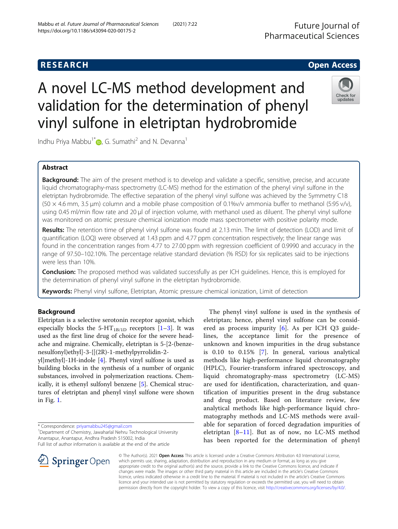# **RESEARCH CHE Open Access**

# A novel LC-MS method development and validation for the determination of phenyl vinyl sulfone in eletriptan hydrobromide

Indhu Priya Mabbu<sup>1[\\*](http://orcid.org/0000-0003-3137-0023)</sup> $\bullet$ , G. Sumathi<sup>2</sup> and N. Devanna<sup>1</sup>

# Abstract

Background: The aim of the present method is to develop and validate a specific, sensitive, precise, and accurate liquid chromatography-mass spectrometry (LC-MS) method for the estimation of the phenyl vinyl sulfone in the eletriptan hydrobromide. The effective separation of the phenyl vinyl sulfone was achieved by the Symmetry C18 (50 × 4.6 mm, 3.5 μm) column and a mobile phase composition of 0.1%v/v ammonia buffer to methanol (5:95 v/v), using 0.45 ml/min flow rate and 20 μl of injection volume, with methanol used as diluent. The phenyl vinyl sulfone was monitored on atomic pressure chemical ionization mode mass spectrometer with positive polarity mode.

Results: The retention time of phenyl vinyl sulfone was found at 2.13 min. The limit of detection (LOD) and limit of quantification (LOQ) were observed at 1.43 ppm and 4.77 ppm concentration respectively; the linear range was found in the concentration ranges from 4.77 to 27.00 ppm with regression coefficient of 0.9990 and accuracy in the range of 97.50–102.10%. The percentage relative standard deviation (% RSD) for six replicates said to be injections were less than 10%.

Conclusion: The proposed method was validated successfully as per ICH quidelines. Hence, this is employed for the determination of phenyl vinyl sulfone in the eletriptan hydrobromide.

Keywords: Phenyl vinyl sulfone, Eletriptan, Atomic pressure chemical ionization, Limit of detection

# Background

Eletriptan is a selective serotonin receptor agonist, which especially blocks the  $5-HT_{1B/1D}$  receptors [\[1](#page-5-0)-[3](#page-5-0)]. It was used as the first line drug of choice for the severe headache and migraine. Chemically, eletriptan is 5-[2-(benzenesulfonyl)ethyl]-3-{[(2R)-1-methylpyrrolidin-2-

yl]methyl}-1H-indole [[4](#page-5-0)]. Phenyl vinyl sulfone is used as building blocks in the synthesis of a number of organic substances, involved in polymerization reactions. Chemically, it is ethenyl sulfonyl benzene [[5\]](#page-5-0). Chemical structures of eletriptan and phenyl vinyl sulfone were shown in Fig. [1.](#page-1-0)

\* Correspondence: [priyamabbu245@gmail.com](mailto:priyamabbu245@gmail.com) <sup>1</sup>

<sup>1</sup> Department of Chemistry, Jawaharlal Nehru Technological University Anantapur, Anantapur, Andhra Pradesh 515002, India

Full list of author information is available at the end of the article

eletriptan; hence, phenyl vinyl sulfone can be considered as process impurity [[6\]](#page-5-0). As per ICH Q3 guidelines, the acceptance limit for the presence of unknown and known impurities in the drug substance is 0.10 to 0.15% [[7](#page-5-0)]. In general, various analytical methods like high-performance liquid chromatography (HPLC), Fourier-transform infrared spectroscopy, and liquid chromatography-mass spectrometry (LC-MS) are used for identification, characterization, and quantification of impurities present in the drug substance and drug product. Based on literature review, few analytical methods like high-performance liquid chromatography methods and LC-MS methods were available for separation of forced degradation impurities of eletriptan  $[8-11]$  $[8-11]$  $[8-11]$  $[8-11]$ . But as of now, no LC-MS method has been reported for the determination of phenyl

The phenyl vinyl sulfone is used in the synthesis of

© The Author(s). 2021 Open Access This article is licensed under a Creative Commons Attribution 4.0 International License, which permits use, sharing, adaptation, distribution and reproduction in any medium or format, as long as you give appropriate credit to the original author(s) and the source, provide a link to the Creative Commons licence, and indicate if changes were made. The images or other third party material in this article are included in the article's Creative Commons licence, unless indicated otherwise in a credit line to the material. If material is not included in the article's Creative Commons licence and your intended use is not permitted by statutory regulation or exceeds the permitted use, you will need to obtain permission directly from the copyright holder. To view a copy of this licence, visit <http://creativecommons.org/licenses/by/4.0/>.





Check for updates



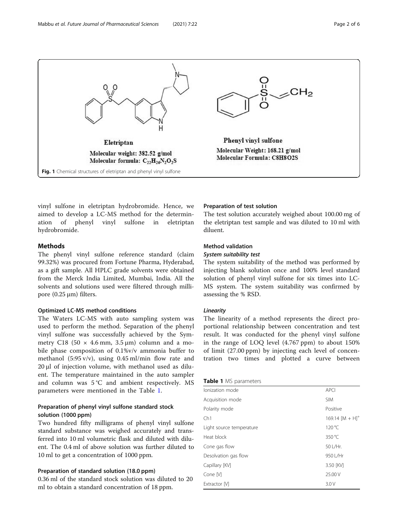<span id="page-1-0"></span>

vinyl sulfone in eletriptan hydrobromide. Hence, we aimed to develop a LC-MS method for the determination of phenyl vinyl sulfone in eletriptan hydrobromide.

# **Methods**

The phenyl vinyl sulfone reference standard (claim 99.32%) was procured from Fortune Pharma, Hyderabad, as a gift sample. All HPLC grade solvents were obtained from the Merck India Limited, Mumbai, India. All the solvents and solutions used were filtered through millipore  $(0.25 \,\mu\text{m})$  filters.

# Optimized LC-MS method conditions

The Waters LC-MS with auto sampling system was used to perform the method. Separation of the phenyl vinyl sulfone was successfully achieved by the Symmetry C18 (50  $\times$  4.6 mm, 3.5 µm) column and a mobile phase composition of 0.1%v/v ammonia buffer to methanol (5:95 v/v), using 0.45 ml/min flow rate and 20 μl of injection volume, with methanol used as diluent. The temperature maintained in the auto sampler and column was 5 °C and ambient respectively. MS parameters were mentioned in the Table 1.

# Preparation of phenyl vinyl sulfone standard stock solution (1000 ppm)

Two hundred fifty milligrams of phenyl vinyl sulfone standard substance was weighed accurately and transferred into 10 ml volumetric flask and diluted with diluent. The 0.4 ml of above solution was further diluted to 10 ml to get a concentration of 1000 ppm.

# Preparation of standard solution (18.0 ppm)

0.36 ml of the standard stock solution was diluted to 20 ml to obtain a standard concentration of 18 ppm.

#### Preparation of test solution

The test solution accurately weighed about 100.00 mg of the eletriptan test sample and was diluted to 10 ml with diluent.

## Method validation

#### System suitability test

The system suitability of the method was performed by injecting blank solution once and 100% level standard solution of phenyl vinyl sulfone for six times into LC-MS system. The system suitability was confirmed by assessing the % RSD.

#### Linearity

The linearity of a method represents the direct proportional relationship between concentration and test result. It was conducted for the phenyl vinyl sulfone in the range of LOQ level (4.767 ppm) to about 150% of limit (27.00 ppm) by injecting each level of concentration two times and plotted a curve between

## Table 1 MS parameters

| lonization mode          | <b>APCI</b>          |
|--------------------------|----------------------|
|                          |                      |
| Acquisition mode         | <b>SIM</b>           |
| Polarity mode            | Positive             |
| Ch1                      | 169.14 $[M + H]^{+}$ |
| Light source temperature | $120^{\circ}$ C      |
| Heat block               | 350 °C               |
| Cone gas flow            | 50 L/Hr.             |
| Desolvation gas flow     | 950 L/Hr             |
| Capillary [KV]           | 3.50 [KV]            |
| Cone M                   | 25.00 V              |
| Extractor M              | 3.0V                 |
|                          |                      |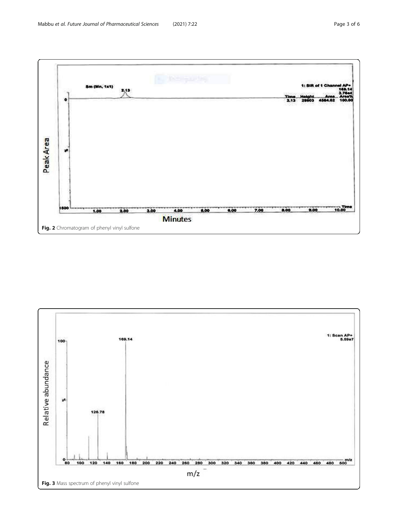<span id="page-2-0"></span>

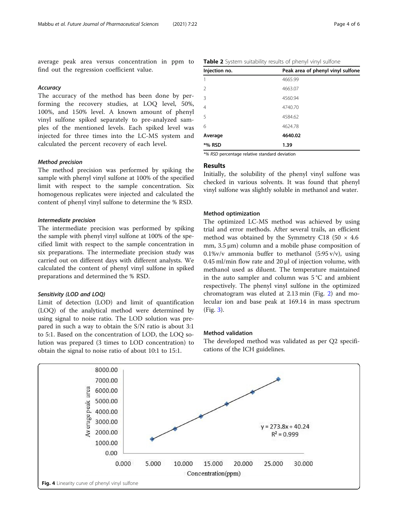<span id="page-3-0"></span>average peak area versus concentration in ppm to find out the regression coefficient value.

# **Accuracy**

The accuracy of the method has been done by performing the recovery studies, at LOQ level, 50%, 100%, and 150% level. A known amount of phenyl vinyl sulfone spiked separately to pre-analyzed samples of the mentioned levels. Each spiked level was injected for three times into the LC-MS system and calculated the percent recovery of each level.

#### Method precision

The method precision was performed by spiking the sample with phenyl vinyl sulfone at 100% of the specified limit with respect to the sample concentration. Six homogenous replicates were injected and calculated the content of phenyl vinyl sulfone to determine the % RSD.

#### Intermediate precision

The intermediate precision was performed by spiking the sample with phenyl vinyl sulfone at 100% of the specified limit with respect to the sample concentration in six preparations. The intermediate precision study was carried out on different days with different analysts. We calculated the content of phenyl vinyl sulfone in spiked preparations and determined the % RSD.

#### Sensitivity (LOD and LOQ)

Limit of detection (LOD) and limit of quantification (LOQ) of the analytical method were determined by using signal to noise ratio. The LOD solution was prepared in such a way to obtain the S/N ratio is about 3:1 to 5:1. Based on the concentration of LOD, the LOQ solution was prepared (3 times to LOD concentration) to obtain the signal to noise ratio of about 10:1 to 15:1.

Injection no. Peak area of phenyl vinyl sulfone 1 4665.99 2 4663.07 3 4560.94 4 4740.70 5 4584.62 6 4624.78 Average 4640.02 \*% RSD 1.39

Table 2 System suitability results of phenyl vinyl sulfone

\*% RSD percentage relative standard deviation

# Results

Initially, the solubility of the phenyl vinyl sulfone was checked in various solvents. It was found that phenyl vinyl sulfone was slightly soluble in methanol and water.

#### Method optimization

The optimized LC-MS method was achieved by using trial and error methods. After several trails, an efficient method was obtained by the Symmetry C18 (50  $\times$  4.6 mm, 3.5 μm) column and a mobile phase composition of  $0.1\%v/v$  ammonia buffer to methanol (5:95 v/v), using 0.45 ml/min flow rate and 20 μl of injection volume, with methanol used as diluent. The temperature maintained in the auto sampler and column was  $5^{\circ}$ C and ambient respectively. The phenyl vinyl sulfone in the optimized chromatogram was eluted at 2.13 min (Fig. [2](#page-2-0)) and molecular ion and base peak at 169.14 in mass spectrum (Fig. [3](#page-2-0)).

#### Method validation

The developed method was validated as per Q2 specifications of the ICH guidelines.

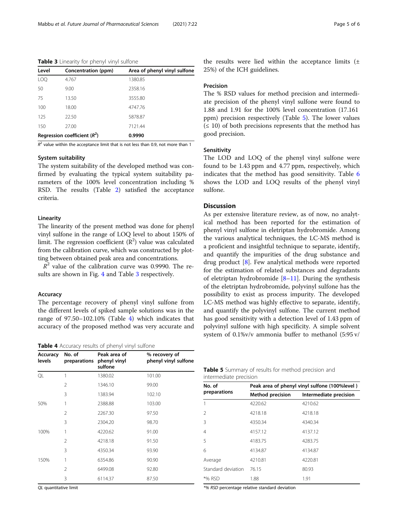Table 3 Linearity for phenyl vinyl sulfone

| Level | Concentration (ppm)           | Area of phenyl vinyl sulfone |
|-------|-------------------------------|------------------------------|
| LOO   | 4.767                         | 1380.85                      |
| 50    | 9.00                          | 2358.16                      |
| 75    | 13.50                         | 3555.80                      |
| 100   | 18.00                         | 4747.76                      |
| 125   | 22.50                         | 5878.87                      |
| 150   | 27.00                         | 7121.44                      |
|       | Regression coefficient $(R2)$ | 0.9990                       |

 $R^2$  value within the acceptance limit that is not less than 0.9, not more than 1

#### System suitability

The system suitability of the developed method was confirmed by evaluating the typical system suitability parameters of the 100% level concentration including % RSD. The results (Table [2](#page-3-0)) satisfied the acceptance criteria.

#### Linearity

The linearity of the present method was done for phenyl vinyl sulfone in the range of LOQ level to about 150% of limit. The regression coefficient  $(R^2)$  value was calculated from the calibration curve, which was constructed by plotting between obtained peak area and concentrations.

 $R<sup>2</sup>$  value of the calibration curve was 0.9990. The results are shown in Fig. [4](#page-3-0) and Table 3 respectively.

#### Accuracy

The percentage recovery of phenyl vinyl sulfone from the different levels of spiked sample solutions was in the range of 97.50–102.10% (Table 4) which indicates that accuracy of the proposed method was very accurate and

Table 4 Accuracy results of phenyl vinyl sulfone

| Accuracy<br>levels | No. of<br>preparations | Peak area of<br>phenyl vinyl<br>sulfone | % recovery of<br>phenyl vinyl sulfone |
|--------------------|------------------------|-----------------------------------------|---------------------------------------|
| QL                 | 1                      | 1380.02                                 | 101.00                                |
|                    | $\mathcal{P}$          | 1346.10                                 | 99.00                                 |
|                    | 3                      | 1383.94                                 | 102.10                                |
| 50%                | 1                      | 2388.88                                 | 103.00                                |
|                    | $\mathcal{P}$          | 2267.30                                 | 97.50                                 |
|                    | 3                      | 2304.20                                 | 98.70                                 |
| 100%               | 1                      | 4220.62                                 | 91.00                                 |
|                    | $\mathcal{P}$          | 4218.18                                 | 91.50                                 |
|                    | 3                      | 4350.34                                 | 93.90                                 |
| 150%               | 1                      | 6354.86                                 | 90.90                                 |
|                    | $\mathfrak{D}$         | 6499.08                                 | 92.80                                 |
|                    | 3                      | 6114.37                                 | 87.50                                 |

QL quantitative limit

the results were lied within the acceptance limits (± 25%) of the ICH guidelines.

#### Precision

The % RSD values for method precision and intermediate precision of the phenyl vinyl sulfone were found to 1.88 and 1.91 for the 100% level concentration (17.161 ppm) precision respectively (Table 5). The lower values  $(≤ 10)$  of both precisions represents that the method has good precision.

# Sensitivity

The LOD and LOQ of the phenyl vinyl sulfone were found to be 1.43 ppm and 4.77 ppm, respectively, which indicates that the method has good sensitivity. Table [6](#page-5-0) shows the LOD and LOQ results of the phenyl vinyl sulfone.

# Discussion

As per extensive literature review, as of now, no analytical method has been reported for the estimation of phenyl vinyl sulfone in eletriptan hydrobromide. Among the various analytical techniques, the LC-MS method is a proficient and insightful technique to separate, identify, and quantify the impurities of the drug substance and drug product [\[8](#page-5-0)]. Few analytical methods were reported for the estimation of related substances and degradants of eletriptan hydrobromide [[8](#page-5-0)–[11](#page-5-0)]. During the synthesis of the eletriptan hydrobromide, polyvinyl sulfone has the possibility to exist as process impurity. The developed LC-MS method was highly effective to separate, identify, and quantify the polyvinyl sulfone. The current method has good sensitivity with a detection level of 1.43 ppm of polyvinyl sulfone with high specificity. A simple solvent system of 0.1%v/v ammonia buffer to methanol (5:95 v/

| <b>Table 5</b> Summary of results for method precision and |  |  |
|------------------------------------------------------------|--|--|
| intermediate precision                                     |  |  |

| No. of             | Peak area of phenyl vinyl sulfone (100%level) |                        |  |
|--------------------|-----------------------------------------------|------------------------|--|
| preparations       | <b>Method precision</b>                       | Intermediate precision |  |
| 1                  | 4220.62                                       | 4210.62                |  |
| $\mathcal{P}$      | 4218.18                                       | 4218.18                |  |
| 3                  | 4350.34                                       | 4340.34                |  |
| $\overline{4}$     | 4157.12                                       | 4137.12                |  |
| 5                  | 4183.75                                       | 4283.75                |  |
| 6                  | 4134.87                                       | 4134.87                |  |
| Average            | 4210.81                                       | 4220.81                |  |
| Standard deviation | 76.15                                         | 80.93                  |  |
| *% RSD             | 1.88                                          | 1.91                   |  |

\*% RSD percentage relative standard deviation